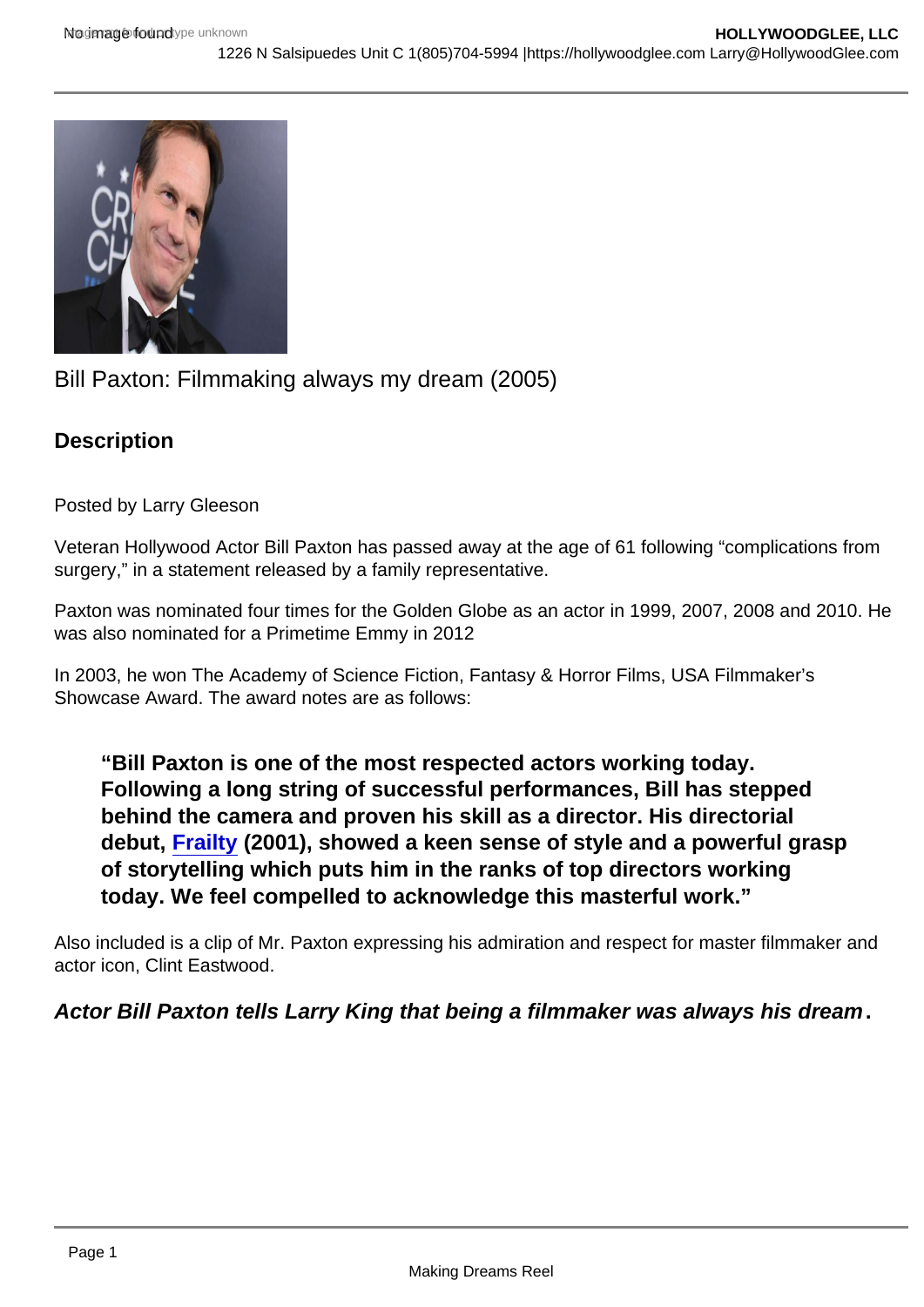## Bill Paxton: Filmmaking always my dream (2005)

**Description** 

Posted by Larry Gleeson

Veteran Hollywood Actor Bill Paxton has passed away at the age of 61 following "complications from surgery," in a statement released by a family representative.

Paxton was nominated four times for the Golden Globe as an actor in 1999, 2007, 2008 and 2010. He was also nominated for a Primetime Emmy in 2012

In 2003, he won The Academy of Science Fiction, Fantasy & Horror Films, USA Filmmaker's Showcase Award. The award notes are as follows:

"Bill Paxton is one of the most respected actors working today. Following a long string of successful performances, Bill has stepped behind the camera and proven his skill as a director. His directorial debut, [Frailty](http://www.imdb.com/title/tt0264616?ref_=nmawd_awd_6) (2001), showed a keen sense of style and a powerful grasp of storytelling which puts him in the ranks of top directors working today. We feel compelled to acknowledge this masterful work."

Also included is a clip of Mr. Paxton expressing his admiration and respect for master filmmaker and actor icon, Clint Eastwood.

Actor Bill Paxton tells Larry King that being a filmmaker was always his dream .